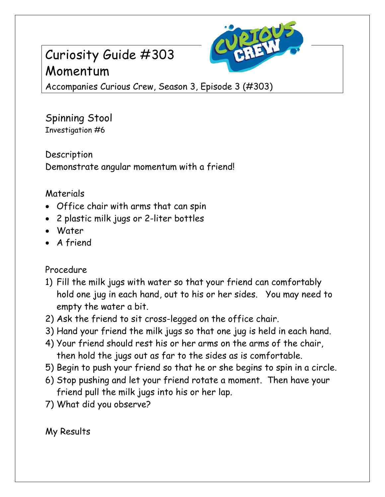## Curiosity Guide #303 Momentum



Accompanies Curious Crew, Season 3, Episode 3 (#303)

Spinning Stool Investigation #6

Description Demonstrate angular momentum with a friend!

## Materials

- Office chair with arms that can spin
- 2 plastic milk jugs or 2-liter bottles
- Water
- A friend

## Procedure

- 1) Fill the milk jugs with water so that your friend can comfortably hold one jug in each hand, out to his or her sides. You may need to empty the water a bit.
- 2) Ask the friend to sit cross-legged on the office chair.
- 3) Hand your friend the milk jugs so that one jug is held in each hand.
- 4) Your friend should rest his or her arms on the arms of the chair, then hold the jugs out as far to the sides as is comfortable.
- 5) Begin to push your friend so that he or she begins to spin in a circle.
- 6) Stop pushing and let your friend rotate a moment. Then have your friend pull the milk jugs into his or her lap.
- 7) What did you observe?

My Results